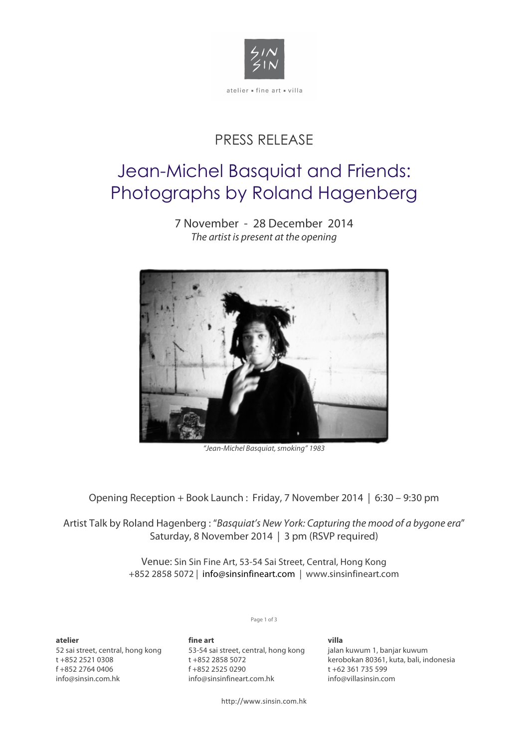

## PRESS RELEASE

# Jean-Michel Basquiat and Friends: Photographs by Roland Hagenberg

7 November - 28 December 2014 *The artist is present at the opening*



*"Jean-Michel Basquiat, smoking" 1983*

Opening Reception + Book Launch : Friday, 7 November 2014 | 6:30 – 9:30 pm

Artist Talk by Roland Hagenberg : "*Basquiat's New York: Capturing the mood of a bygone era*" Saturday, 8 November 2014 | 3 pm (RSVP required)

> Venue: Sin Sin Fine Art, 53-54 Sai Street, Central, Hong Kong +852 2858 5072 | info@sinsinfineart.com | www.sinsinfineart.com

> > Page 1 of 3

**atelier**  52 sai street, central, hong kong t +852 2521 0308 f +852 2764 0406 info@sinsin.com.hk

**fine art** 53-54 sai street, central, hong kong t +852 2858 5072 f +852 2525 0290 info@sinsinfineart.com.hk

**villa** jalan kuwum 1, banjar kuwum kerobokan 80361, kuta, bali, indonesia t +62 361 735 599 info@villasinsin.com

http://www.sinsin.com.hk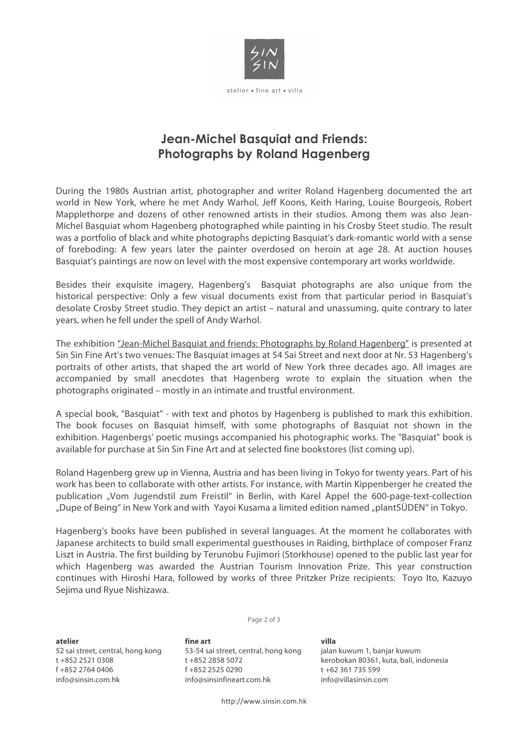

### **Jean-Michel Basquiat and Friends: Photographs by Roland Hagenberg**

During the 1980s Austrian artist, photographer and writer Roland Hagenberg documented the art world in New York, where he met Andy Warhol, Jeff Koons, Keith Haring, Louise Bourgeois, Robert Mapplethorpe and dozens of other renowned artists in their studios. Among them was also Jean-Michel Basquiat whom Hagenberg photographed while painting in his Crosby Steet studio. The result was a portfolio of black and white photographs depicting Basquiat's dark-romantic world with a sense of foreboding: A few years later the painter overdosed on heroin at age 28. At auction houses Basquiat's paintings are now on level with the most expensive contemporary art works worldwide.

Besides their exquisite imagery, Hagenberg's Basquiat photographs are also unique from the historical perspective: Only a few visual documents exist from that particular period in Basquiat's desolate Crosby Street studio. They depict an artist – natural and unassuming, quite contrary to later years, when he fell under the spell of Andy Warhol.

The exhibition "Jean-Michel Basquiat and friends: Photographs by Roland Hagenberg" is presented at Sin Sin Fine Art's two venues: The Basquiat images at 54 Sai Street and next door at Nr. 53 Hagenberg's portraits of other artists, that shaped the art world of New York three decades ago. All images are accompanied by small anecdotes that Hagenberg wrote to explain the situation when the photographs originated – mostly in an intimate and trustful environment.

A special book, "Basquiat" - with text and photos by Hagenberg is published to mark this exhibition. The book focuses on Basquiat himself, with some photographs of Basquiat not shown in the exhibition. Hagenbergs' poetic musings accompanied his photographic works. The "Basquiat" book is available for purchase at Sin Sin Fine Art and at selected fine bookstores (list coming up).

Roland Hagenberg grew up in Vienna, Austria and has been living in Tokyo for twenty years. Part of his work has been to collaborate with other artists. For instance, with Martin Kippenberger he created the publication "Vom Jugendstil zum Freistil" in Berlin, with Karel Appel the 600-page-text-collection "Dupe of Being" in New York and with Yayoi Kusama a limited edition named "plantSÜDEN" in Tokyo.

Hagenberg's books have been published in several languages. At the moment he collaborates with Japanese architects to build small experimental guesthouses in Raiding, birthplace of composer Franz Liszt in Austria. The first building by Terunobu Fujimori (Storkhouse) opened to the public last year for which Hagenberg was awarded the Austrian Tourism Innovation Prize. This year construction continues with Hiroshi Hara, followed by works of three Pritzker Prize recipients: Toyo Ito, Kazuyo Sejima und Ryue Nishizawa.

Page 2 of 3

**atelier**  52 sai street, central, hong kong t +852 2521 0308 f +852 2764 0406 info@sinsin.com.hk

**fine art** 53-54 sai street, central, hong kong t +852 2858 5072 f +852 2525 0290 info@sinsinfineart.com.hk

#### **villa**

jalan kuwum 1, banjar kuwum kerobokan 80361, kuta, bali, indonesia t +62 361 735 599 info@villasinsin.com

http://www.sinsin.com.hk